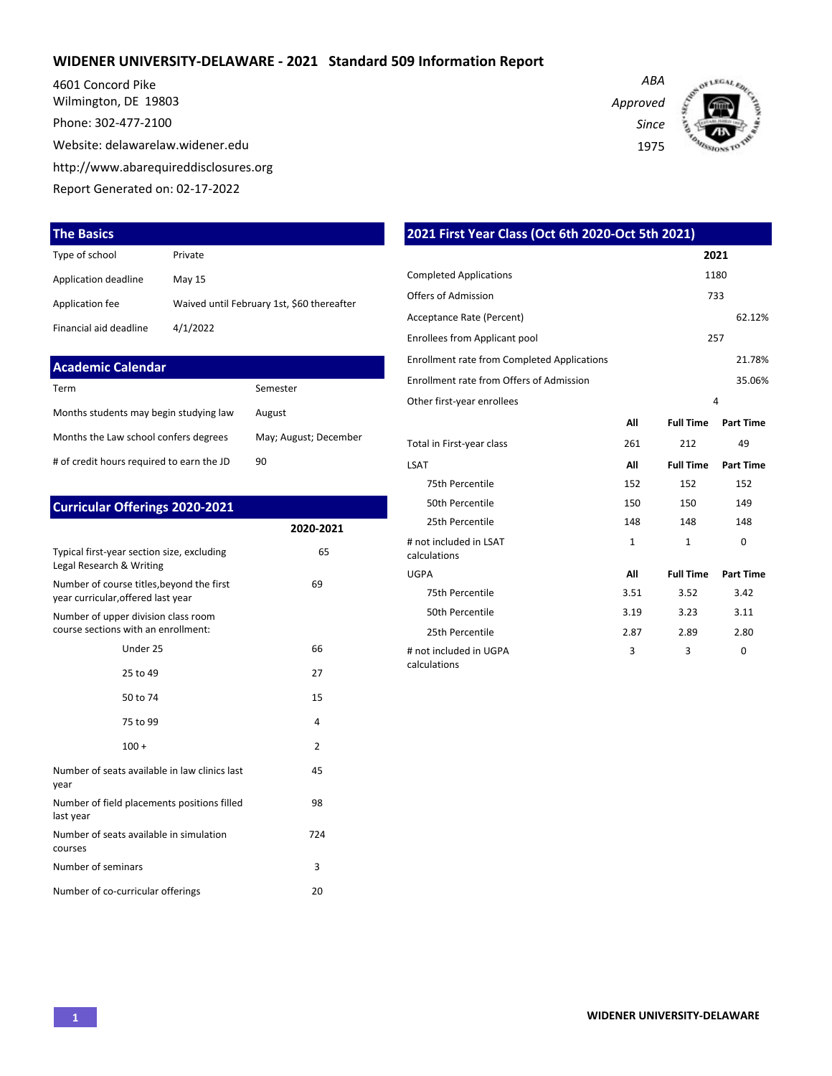#### **WIDENER UNIVERSITY-DELAWARE - 2021 Standard 509 Information Report**

4601 Concord Pike Wilmington, DE 19803

Phone: 302-477-2100

Website: delawarelaw.widener.edu

http://www.abarequireddisclosures.org

Report Generated on: 02-17-2022

#### **The Basics**

| Type of school         | Private                                    |
|------------------------|--------------------------------------------|
| Application deadline   | May 15                                     |
| Application fee        | Waived until February 1st, \$60 thereafter |
| Financial aid deadline | 4/1/2022                                   |

| Academic Calendar                         |                       |
|-------------------------------------------|-----------------------|
| Term                                      | Semester              |
| Months students may begin studying law    | August                |
| Months the Law school confers degrees     | May; August; December |
| # of credit hours required to earn the JD | 90                    |

| <b>Curricular Offerings 2020-2021</b>                                           |                |
|---------------------------------------------------------------------------------|----------------|
|                                                                                 | 2020-2021      |
| Typical first-year section size, excluding<br>Legal Research & Writing          | 65             |
| Number of course titles, beyond the first<br>year curricular, offered last year | 69             |
| Number of upper division class room<br>course sections with an enrollment:      |                |
| Under 25                                                                        | 66             |
| 25 to 49                                                                        | 27             |
| 50 to 74                                                                        | 15             |
| 75 to 99                                                                        | 4              |
| $100 +$                                                                         | $\overline{2}$ |
| Number of seats available in law clinics last<br>year                           | 45             |
| Number of field placements positions filled<br>last year                        | 98             |
| Number of seats available in simulation<br>courses                              | 724            |
| Number of seminars                                                              | 3              |
| Number of co-curricular offerings                                               | 20             |

| 2021 First Year Class (Oct 6th 2020-Oct 5th 2021)  |              |                  |                  |
|----------------------------------------------------|--------------|------------------|------------------|
|                                                    |              |                  | 2021             |
| <b>Completed Applications</b>                      |              |                  | 1180             |
| Offers of Admission                                |              |                  | 733              |
| Acceptance Rate (Percent)                          |              |                  | 62.12%           |
| Enrollees from Applicant pool                      |              |                  | 257              |
| <b>Enrollment rate from Completed Applications</b> |              |                  | 21.78%           |
| Enrollment rate from Offers of Admission           |              |                  | 35.06%           |
| Other first-year enrollees                         |              |                  | 4                |
|                                                    | All          | <b>Full Time</b> | <b>Part Time</b> |
| Total in First-year class                          | 261          | 212              | 49               |
| <b>LSAT</b>                                        | All          | <b>Full Time</b> | <b>Part Time</b> |
| 75th Percentile                                    | 152          | 152              | 152              |
| 50th Percentile                                    | 150          | 150              | 149              |
| 25th Percentile                                    | 148          | 148              | 148              |
| # not included in LSAT<br>calculations             | $\mathbf{1}$ | $\mathbf{1}$     | $\Omega$         |
| <b>UGPA</b>                                        | All          | <b>Full Time</b> | <b>Part Time</b> |
| 75th Percentile                                    | 3.51         | 3.52             | 3.42             |
| 50th Percentile                                    | 3.19         | 3.23             | 3.11             |
| 25th Percentile                                    | 2.87         | 2.89             | 2.80             |
| # not included in UGPA<br>calculations             | 3            | 3                | 0                |

*Approved Since*

*ABA*

1975

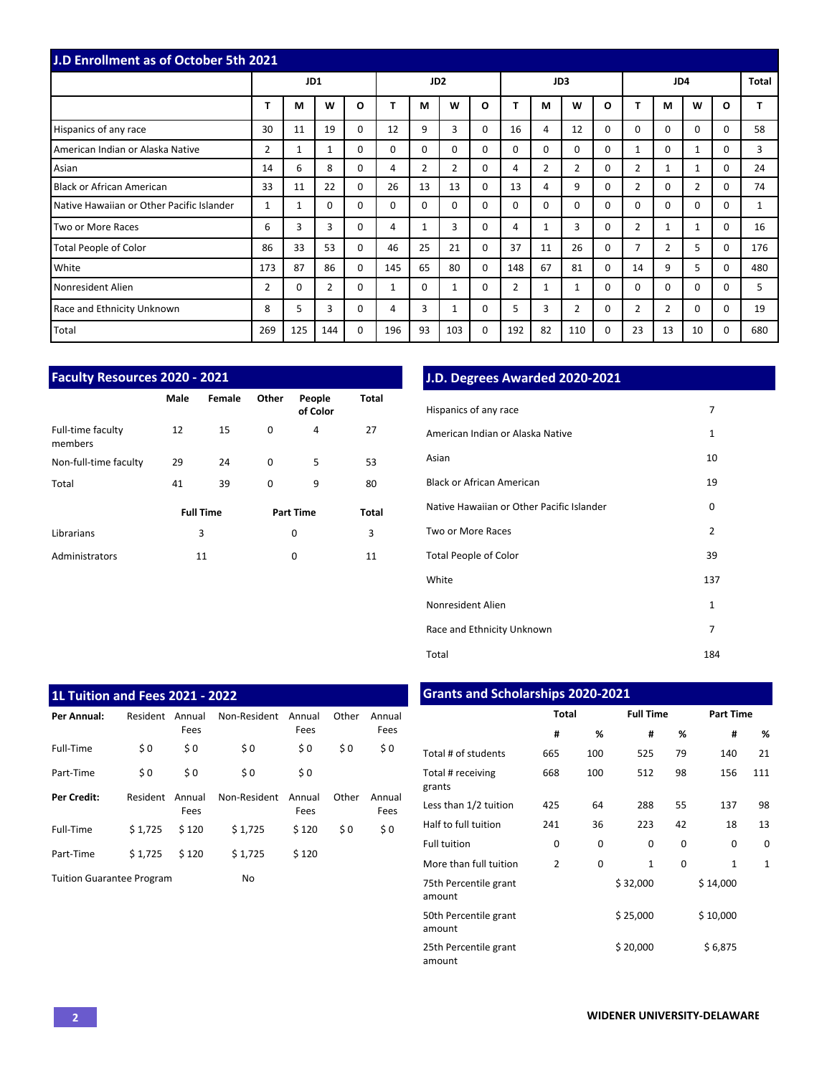| <b>J.D Enrollment as of October 5th 2021</b> |                |          |                |              |              |                 |          |          |                |                |                |          |                |                |                |          |     |
|----------------------------------------------|----------------|----------|----------------|--------------|--------------|-----------------|----------|----------|----------------|----------------|----------------|----------|----------------|----------------|----------------|----------|-----|
|                                              |                | JD1      |                |              |              | JD <sub>2</sub> |          |          |                |                | JD3            |          |                | <b>Total</b>   |                |          |     |
|                                              | T              | M        | W              | $\mathbf{o}$ |              | M               | W        | O        |                | М              | W              | $\Omega$ | T              | M              | W              | $\Omega$ |     |
| Hispanics of any race                        | 30             | 11       | 19             | 0            | 12           | 9               | 3        | $\Omega$ | 16             | 4              | 12             | $\Omega$ | $\Omega$       | $\Omega$       | $\Omega$       | $\Omega$ | 58  |
| American Indian or Alaska Native             | $\overline{2}$ | 1        | $\mathbf{1}$   | 0            | $\Omega$     | $\Omega$        | $\Omega$ | $\Omega$ | $\Omega$       | 0              | 0              | $\Omega$ | 1              | $\Omega$       | $\mathbf{1}$   | $\Omega$ | 3   |
| Asian                                        | 14             | 6        | 8              | 0            | 4            | $\overline{2}$  | 2        | $\Omega$ | 4              | $\overline{2}$ | 2              | $\Omega$ | 2              | 1              | 1              | $\Omega$ | 24  |
| <b>Black or African American</b>             | 33             | 11       | 22             | 0            | 26           | 13              | 13       | $\Omega$ | 13             | 4              | 9              | 0        | $\overline{2}$ | $\Omega$       | $\overline{2}$ | $\Omega$ | 74  |
| Native Hawaiian or Other Pacific Islander    | 1              | 1        | $\Omega$       | 0            | $\Omega$     | $\Omega$        | $\Omega$ | $\Omega$ | 0              | 0              | $\mathbf 0$    | 0        | $\Omega$       | $\Omega$       | $\Omega$       | $\Omega$ |     |
| Two or More Races                            | 6              | 3        | 3              | 0            | 4            | $\mathbf{1}$    | 3        | $\Omega$ | 4              |                | 3              | $\Omega$ | $\overline{2}$ | $\mathbf{1}$   | 1              | $\Omega$ | 16  |
| <b>Total People of Color</b>                 | 86             | 33       | 53             | $\Omega$     | 46           | 25              | 21       | $\Omega$ | 37             | 11             | 26             | $\Omega$ | $\overline{7}$ | 2              | 5              | $\Omega$ | 176 |
| White                                        | 173            | 87       | 86             | 0            | 145          | 65              | 80       | $\Omega$ | 148            | 67             | 81             | $\Omega$ | 14             | 9              | 5              | $\Omega$ | 480 |
| Nonresident Alien                            | $\overline{2}$ | $\Omega$ | $\overline{2}$ | $\Omega$     | $\mathbf{1}$ | $\Omega$        | 1        | $\Omega$ | $\overline{2}$ | 1              | 1              | $\Omega$ | $\Omega$       | $\Omega$       | $\Omega$       | $\Omega$ | 5   |
| Race and Ethnicity Unknown                   | 8              | 5        | 3              | 0            | 4            | 3               | 1        | 0        | 5              | 3              | $\overline{2}$ | $\Omega$ | $\overline{2}$ | $\overline{2}$ | $\Omega$       | $\Omega$ | 19  |
| Total                                        | 269            | 125      | 144            | $\mathbf 0$  | 196          | 93              | 103      | 0        | 192            | 82             | 110            | 0        | 23             | 13             | 10             | $\Omega$ | 680 |

| <b>Faculty Resources 2020 - 2021</b> |      |                  |       |                    |              |
|--------------------------------------|------|------------------|-------|--------------------|--------------|
|                                      | Male | Female           | Other | People<br>of Color | Total        |
| Full-time faculty<br>members         | 12   | 15               | 0     | 4                  | 27           |
| Non-full-time faculty                | 29   | 24               | 0     | 5                  | 53           |
| Total                                | 41   | 39               | 0     | 9                  | 80           |
|                                      |      | <b>Full Time</b> |       | <b>Part Time</b>   | <b>Total</b> |
| Librarians                           |      | 3                |       | 0                  | 3            |
| Administrators                       |      | 11               |       | $\Omega$           | 11           |

# **J.D. Degrees Awarded 2020-2021**

| Hispanics of any race                     | 7              |
|-------------------------------------------|----------------|
| American Indian or Alaska Native          | 1              |
| Asian                                     | 10             |
| <b>Black or African American</b>          | 19             |
| Native Hawaiian or Other Pacific Islander | 0              |
| Two or More Races                         | $\overline{2}$ |
| <b>Total People of Color</b>              | 39             |
| White                                     | 137            |
| Nonresident Alien                         | $\mathbf{1}$   |
| Race and Ethnicity Unknown                | 7              |
| Total                                     | 184            |

| <b>1L Tuition and Fees 2021 - 2022</b> |          |                |              |                |       |                |
|----------------------------------------|----------|----------------|--------------|----------------|-------|----------------|
| Per Annual:                            | Resident | Annual<br>Fees | Non-Resident | Annual<br>Fees | Other | Annual<br>Fees |
| Full-Time                              | \$0      | \$0            | \$0          | \$0            | \$0   | \$0            |
| Part-Time                              | \$0      | \$0            | \$0          | \$0            |       |                |
| <b>Per Credit:</b>                     | Resident | Annual<br>Fees | Non-Resident | Annual<br>Fees | Other | Annual<br>Fees |
| Full-Time                              | \$1.725  | \$120          | \$1,725      | \$120          | \$0   | \$0            |
| Part-Time                              | \$1.725  | \$120          | \$1,725      | \$120          |       |                |
| <b>Tuition Guarantee Program</b>       |          |                | No           |                |       |                |

# **Grants and Scholarships 2020-2021**

|                                 | <b>Total</b>   |     | <b>Full Time</b> |    | <b>Part Time</b> |              |  |  |  |
|---------------------------------|----------------|-----|------------------|----|------------------|--------------|--|--|--|
|                                 | #              | %   | #                | %  | #                | %            |  |  |  |
| Total # of students             | 665            | 100 | 525              | 79 | 140              | 21           |  |  |  |
| Total # receiving<br>grants     | 668            | 100 | 512              | 98 | 156              | 111          |  |  |  |
| Less than 1/2 tuition           | 425            | 64  | 288              | 55 | 137              | 98           |  |  |  |
| Half to full tuition            | 241            | 36  | 223              | 42 | 18               | 13           |  |  |  |
| <b>Full tuition</b>             | 0              | 0   | 0                | 0  | 0                | 0            |  |  |  |
| More than full tuition          | $\overline{2}$ | 0   | $\mathbf{1}$     | 0  | 1                | $\mathbf{1}$ |  |  |  |
| 75th Percentile grant<br>amount |                |     | \$32,000         |    | \$14,000         |              |  |  |  |
| 50th Percentile grant<br>amount |                |     | \$25,000         |    | \$10,000         |              |  |  |  |
| 25th Percentile grant<br>amount |                |     | \$20,000         |    | \$6,875          |              |  |  |  |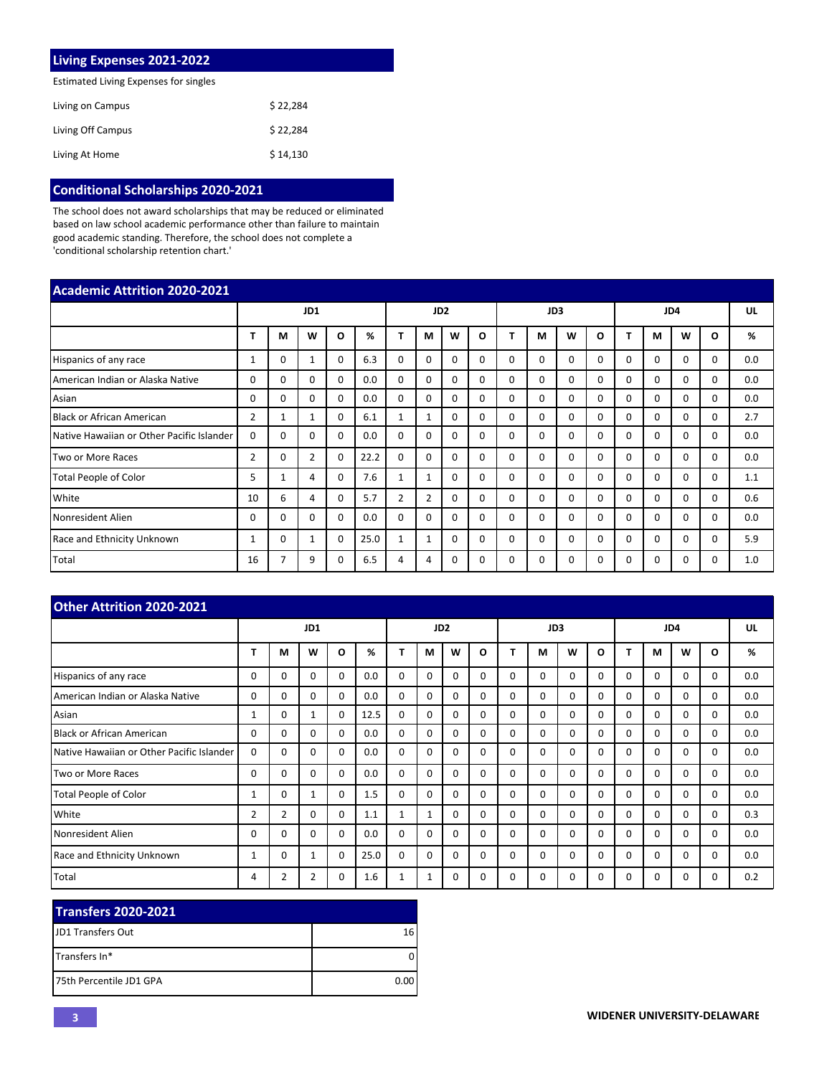| <b>Living Expenses 2021-2022</b>      |          |
|---------------------------------------|----------|
| Estimated Living Expenses for singles |          |
| Living on Campus                      | \$22.284 |
| Living Off Campus                     | \$22.284 |
| Living At Home                        | \$14.130 |

### **Conditional Scholarships 2020-2021**

The school does not award scholarships that may be reduced or eliminated based on law school academic performance other than failure to maintain good academic standing. Therefore, the school does not complete a 'conditional scholarship retention chart.'

| <b>Academic Attrition 2020-2021</b>       |                |                |              |          |      |                 |                |              |          |          |          |          |          |          |          |              |          |     |
|-------------------------------------------|----------------|----------------|--------------|----------|------|-----------------|----------------|--------------|----------|----------|----------|----------|----------|----------|----------|--------------|----------|-----|
|                                           |                | JD1            |              |          |      | JD <sub>2</sub> |                |              |          | JD3      |          |          |          | JD4      |          |              |          |     |
|                                           |                | м              | W            | O        | %    |                 | М              | W            | O        |          | М        | W        | $\Omega$ |          | М        | W            | O        | %   |
| Hispanics of any race                     | 1              | $\Omega$       |              | 0        | 6.3  | 0               | $\Omega$       | 0            | $\Omega$ | $\Omega$ | 0        | $\Omega$ | 0        | $\Omega$ | $\Omega$ | <sup>0</sup> | 0        | 0.0 |
| American Indian or Alaska Native          | 0              | $\Omega$       | $\Omega$     | 0        | 0.0  | $\mathbf 0$     | $\Omega$       | 0            | $\Omega$ | $\Omega$ | $\Omega$ | $\Omega$ | $\Omega$ | $\Omega$ | $\Omega$ | 0            | 0        | 0.0 |
| Asian                                     | 0              | $\mathbf 0$    | $\Omega$     | 0        | 0.0  | $\mathbf 0$     | $\Omega$       | 0            | $\Omega$ | $\Omega$ | $\Omega$ | $\Omega$ | 0        | $\Omega$ | $\Omega$ | 0            | $\Omega$ | 0.0 |
| <b>Black or African American</b>          | $\overline{2}$ | 1              | $\mathbf{1}$ | $\Omega$ | 6.1  | $\mathbf{1}$    | $\mathbf{1}$   | 0            | $\Omega$ | $\Omega$ | $\Omega$ | $\Omega$ | 0        | $\Omega$ | $\Omega$ | $\Omega$     | $\Omega$ | 2.7 |
| Native Hawaiian or Other Pacific Islander | 0              | $\Omega$       | $\Omega$     | 0        | 0.0  | $\Omega$        | $\Omega$       | $\Omega$     | $\Omega$ | $\Omega$ | $\Omega$ | $\Omega$ | 0        | $\Omega$ | $\Omega$ | 0            | 0        | 0.0 |
| Two or More Races                         | $\overline{2}$ | $\Omega$       | 2            | $\Omega$ | 22.2 | $\Omega$        | $\Omega$       | 0            | $\Omega$ | $\Omega$ | $\Omega$ | $\Omega$ | 0        | $\Omega$ | $\Omega$ | $\Omega$     | $\Omega$ | 0.0 |
| <b>Total People of Color</b>              | 5              | $\mathbf{1}$   | 4            | $\Omega$ | 7.6  | $\mathbf{1}$    | $\mathbf{1}$   | 0            | $\Omega$ | $\Omega$ | $\Omega$ | $\Omega$ | 0        | $\Omega$ | $\Omega$ | 0            | $\Omega$ | 1.1 |
| White                                     | 10             | 6              | 4            | 0        | 5.7  | $\overline{2}$  | $\overline{2}$ | 0            | $\Omega$ | $\Omega$ | $\Omega$ | $\Omega$ | $\Omega$ | $\Omega$ | $\Omega$ | $\Omega$     | $\Omega$ | 0.6 |
| Nonresident Alien                         | 0              | $\Omega$       | $\Omega$     | 0        | 0.0  | $\Omega$        | $\Omega$       | <sup>0</sup> | $\Omega$ | $\Omega$ | $\Omega$ | $\Omega$ | O        | $\Omega$ | $\Omega$ | O            | O        | 0.0 |
| Race and Ethnicity Unknown                |                | $\Omega$       | 1            | 0        | 25.0 | 1               | 1              | 0            | 0        | $\Omega$ | $\Omega$ | $\Omega$ | 0        | $\Omega$ | $\Omega$ | 0            | 0        | 5.9 |
| Total                                     | 16             | $\overline{7}$ | 9            | 0        | 6.5  | 4               | 4              | 0            | 0        | $\Omega$ | $\Omega$ | 0        | 0        | 0        | 0        | 0            | 0        | 1.0 |

| <b>Other Attrition 2020-2021</b>          |                |                |          |                 |      |              |   |          |          |          |          |          |          |              |          |          |          |     |
|-------------------------------------------|----------------|----------------|----------|-----------------|------|--------------|---|----------|----------|----------|----------|----------|----------|--------------|----------|----------|----------|-----|
|                                           | JD1            |                |          | JD <sub>2</sub> |      |              |   |          | JD3      |          |          |          |          | UL           |          |          |          |     |
|                                           | т              | М              | W        | 0               | %    | т            | М | W        | O        | п        | м        | W        | O        |              | М        | W        | O        | %   |
| Hispanics of any race                     | 0              | 0              | 0        | $\Omega$        | 0.0  | $\Omega$     | 0 | $\Omega$ | $\Omega$ | $\Omega$ | $\Omega$ | $\Omega$ | $\Omega$ | $\Omega$     | $\Omega$ | $\Omega$ | $\Omega$ | 0.0 |
| American Indian or Alaska Native          | 0              | 0              | 0        | $\Omega$        | 0.0  | $\Omega$     | 0 | $\Omega$ | $\Omega$ | $\Omega$ | $\Omega$ | $\Omega$ | $\Omega$ | 0            | $\Omega$ | $\Omega$ | $\Omega$ | 0.0 |
| Asian                                     | 1              | 0              |          | 0               | 12.5 | $\Omega$     | 0 | $\Omega$ | $\Omega$ | $\Omega$ | $\Omega$ | $\Omega$ | $\Omega$ | $\Omega$     | $\Omega$ | $\Omega$ | $\Omega$ | 0.0 |
| Black or African American                 | 0              | 0              | 0        | 0               | 0.0  | $\Omega$     | 0 | $\Omega$ | $\Omega$ | $\Omega$ | $\Omega$ | $\Omega$ | $\Omega$ | $\Omega$     | $\Omega$ | $\Omega$ | $\Omega$ | 0.0 |
| Native Hawaiian or Other Pacific Islander | 0              | 0              | 0        | 0               | 0.0  | $\Omega$     | 0 | $\Omega$ | $\Omega$ | $\Omega$ | $\Omega$ | $\Omega$ | $\Omega$ | $\Omega$     | $\Omega$ | $\Omega$ | $\Omega$ | 0.0 |
| Two or More Races                         | 0              | 0              | 0        | 0               | 0.0  | $\Omega$     | 0 | $\Omega$ | $\Omega$ | $\Omega$ | $\Omega$ | $\Omega$ | $\Omega$ | <sup>0</sup> | $\Omega$ | $\Omega$ | $\Omega$ | 0.0 |
| <b>Total People of Color</b>              |                | 0              | 1        | $\mathbf 0$     | 1.5  | 0            | 0 | $\Omega$ | $\Omega$ | $\Omega$ | $\Omega$ | $\Omega$ | $\Omega$ | $\Omega$     | $\Omega$ | $\Omega$ | $\Omega$ | 0.0 |
| White                                     | $\overline{2}$ | $\overline{2}$ | 0        | 0               | 1.1  | $\mathbf{1}$ | 1 | $\Omega$ | $\Omega$ | $\Omega$ | $\Omega$ | 0        | 0        | $\Omega$     | $\Omega$ | $\Omega$ | 0        | 0.3 |
| Nonresident Alien                         | 0              | 0              | $\Omega$ | $\Omega$        | 0.0  | $\Omega$     | 0 | $\Omega$ | $\Omega$ | $\Omega$ | $\Omega$ | $\Omega$ | $\Omega$ | <sup>0</sup> | $\Omega$ | $\Omega$ | $\Omega$ | 0.0 |
| Race and Ethnicity Unknown                |                | 0              |          | $\Omega$        | 25.0 | $\Omega$     | 0 | $\Omega$ | $\Omega$ | $\Omega$ | $\Omega$ | $\Omega$ | $\Omega$ | $\Omega$     | $\Omega$ | $\Omega$ | $\Omega$ | 0.0 |
| Total                                     | 4              | 2              | 2        | 0               | 1.6  | 1            | 1 | $\Omega$ | 0        | 0        | $\Omega$ | $\Omega$ | $\Omega$ | 0            | 0        | 0        | 0        | 0.2 |

| Transfers 2020-2021       |      |
|---------------------------|------|
| <b>IJD1 Transfers Out</b> | 16   |
| <b>ITransfers In*</b>     |      |
| 175th Percentile JD1 GPA  | 0.00 |